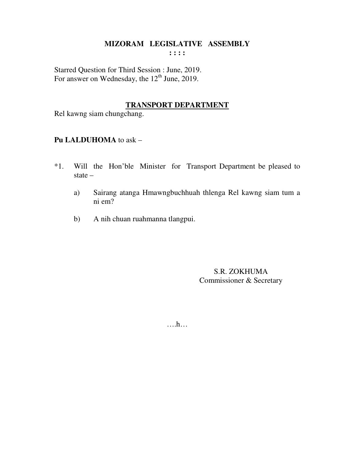Starred Question for Third Session : June, 2019. For answer on Wednesday, the 12<sup>th</sup> June, 2019.

#### **TRANSPORT DEPARTMENT**

Rel kawng siam chungchang.

# **Pu LALDUHOMA** to ask –

- \*1. Will the Hon'ble Minister for Transport Department be pleased to state –
	- a) Sairang atanga Hmawngbuchhuah thlenga Rel kawng siam tum a ni em?
	- b) A nih chuan ruahmanna tlangpui.

S.R. ZOKHUMA Commissioner & Secretary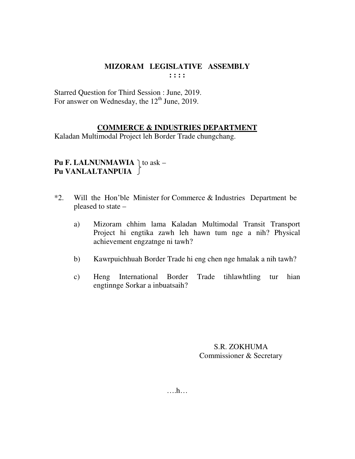Starred Question for Third Session : June, 2019. For answer on Wednesday, the  $12<sup>th</sup>$  June, 2019.

### **COMMERCE & INDUSTRIES DEPARTMENT**

Kaladan Multimodal Project leh Border Trade chungchang.

**Pu F. LALNUNMAWIA**  $\vert$  to ask – **Pu VANLALTANPUIA** 

- \*2. Will the Hon'ble Minister for Commerce & Industries Department be pleased to state –
	- a) Mizoram chhim lama Kaladan Multimodal Transit Transport Project hi engtika zawh leh hawn tum nge a nih? Physical achievement engzatnge ni tawh?
	- b) Kawrpuichhuah Border Trade hi eng chen nge hmalak a nih tawh?
	- c) Heng International Border Trade tihlawhtling tur hian engtinnge Sorkar a inbuatsaih?

S.R. ZOKHUMA Commissioner & Secretary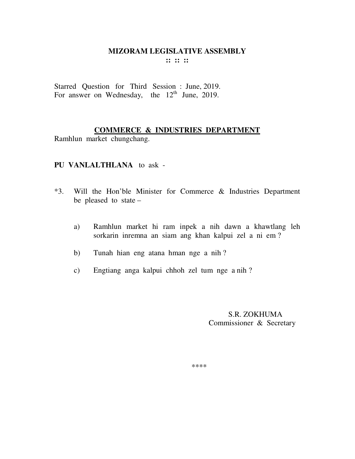Starred Question for Third Session : June, 2019. For answer on Wednesday, the  $12<sup>th</sup>$  June, 2019.

## **COMMERCE & INDUSTRIES DEPARTMENT**

Ramhlun market chungchang.

# **PU VANLALTHLANA** to ask -

- \*3. Will the Hon'ble Minister for Commerce & Industries Department be pleased to state –
	- a) Ramhlun market hi ram inpek a nih dawn a khawtlang leh sorkarin inremna an siam ang khan kalpui zel a ni em ?
	- b) Tunah hian eng atana hman nge a nih ?
	- c) Engtiang anga kalpui chhoh zel tum nge a nih ?

 S.R. ZOKHUMA Commissioner & Secretary

\*\*\*\*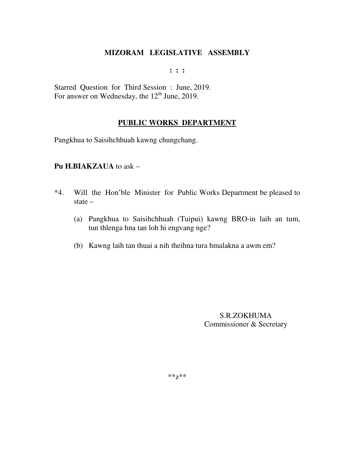**: : :** 

Starred Question for Third Session : June, 2019. For answer on Wednesday, the 12<sup>th</sup> June, 2019.

## **PUBLIC WORKS DEPARTMENT**

Pangkhua to Saisihchhuah kawng chungchang.

### **Pu H.BIAKZAUA** to ask –

- \*4. Will the Hon'ble Minister for Public Works Department be pleased to state –
	- (a) Pangkhua to Saisihchhuah (Tuipui) kawng BRO-in laih an tum, tun thlenga hna tan loh hi engvang nge?
	- (b) Kawng laih tan thuai a nih theihna tura hmalakna a awm em?

S.R.ZOKHUMA Commissioner & Secretary

\*\*z\*\*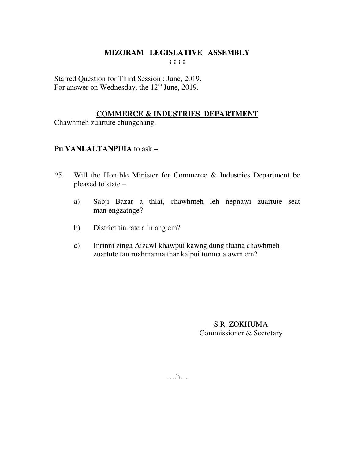Starred Question for Third Session : June, 2019. For answer on Wednesday, the 12<sup>th</sup> June, 2019.

## **COMMERCE & INDUSTRIES DEPARTMENT**

Chawhmeh zuartute chungchang.

## Pu VANLALTANPUIA to ask -

- Will the Hon'ble Minister for Commerce & Industries Department be  $*5.$ pleased to state -
	- Sabji Bazar a thlai, chawhmeh leh nepnawi zuartute seat  $a)$ man engzatnge?
	- District tin rate a in ang em?  $b)$
	- Inrinni zinga Aizawl khawpui kawng dung tluana chawhmeh  $\mathbf{c})$ zuartute tan ruahmanna thar kalpui tumna a awm em?

S.R. ZOKHUMA Commissioner & Secretary

 $\dots h\dots$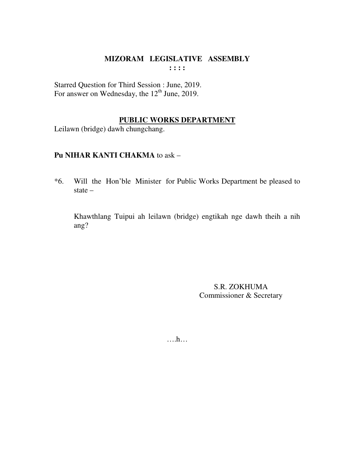Starred Question for Third Session : June, 2019. For answer on Wednesday, the  $12<sup>th</sup>$  June, 2019.

### **PUBLIC WORKS DEPARTMENT**

Leilawn (bridge) dawh chungchang.

## **Pu NIHAR KANTI CHAKMA** to ask –

\*6. Will the Hon'ble Minister for Public Works Department be pleased to state –

 Khawthlang Tuipui ah leilawn (bridge) engtikah nge dawh theih a nih ang?

> S.R. ZOKHUMA Commissioner & Secretary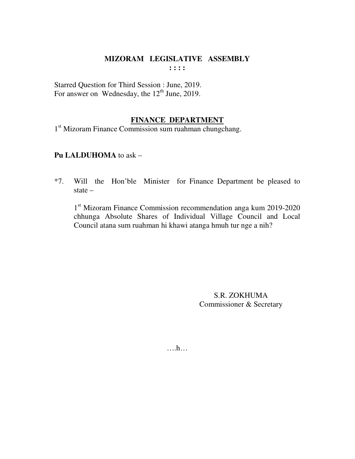Starred Question for Third Session : June, 2019. For answer on Wednesday, the  $12<sup>th</sup>$  June, 2019.

### **FINANCE DEPARTMENT**

1<sup>st</sup> Mizoram Finance Commission sum ruahman chungchang.

### **Pu LALDUHOMA** to ask –

\*7. Will the Hon'ble Minister for Finance Department be pleased to state –

1<sup>st</sup> Mizoram Finance Commission recommendation anga kum 2019-2020 chhunga Absolute Shares of Individual Village Council and Local Council atana sum ruahman hi khawi atanga hmuh tur nge a nih?

> S.R. ZOKHUMA Commissioner & Secretary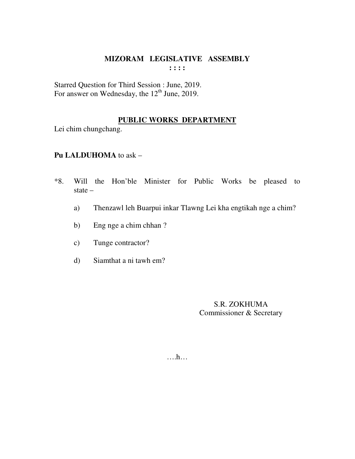Starred Question for Third Session : June, 2019.<br>For answer on Wednesday, the 12<sup>th</sup> June, 2019.

## PUBLIC WORKS DEPARTMENT

Lei chim chungchang.

## Pu LALDUHOMA to ask -

- $*8.$ Will the Hon'ble Minister for Public Works be pleased to state  $-$ 
	- Thenzawl leh Buarpui inkar Tlawng Lei kha engtikah nge a chim?  $a)$
	- Eng nge a chim chhan?  $b)$
	- Tunge contractor?  $c)$
	- Siamthat a ni tawh em?  $\mathbf{d}$

S.R. ZOKHUMA Commissioner & Secretary

 $\dots h\dots$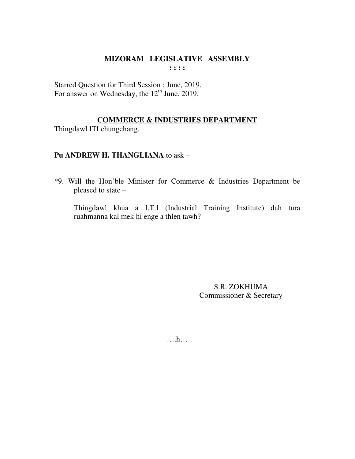Starred Question for Third Session : June, 2019. For answer on Wednesday, the  $12<sup>th</sup>$  June, 2019.

## **COMMERCE & INDUSTRIES DEPARTMENT**

Thingdawl ITI chungchang.

## Pu ANDREW H. THANGLIANA to ask -

\*9. Will the Hon'ble Minister for Commerce & Industries Department be pleased to state -

Thingdawl khua a I.T.I (Industrial Training Institute) dah tura ruahmanna kal mek hi enge a thlen tawh?

> S.R. ZOKHUMA Commissioner & Secretary

 $\dots$ ...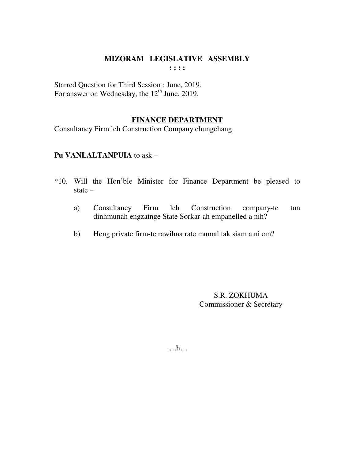Starred Question for Third Session : June, 2019. For answer on Wednesday, the  $12<sup>th</sup>$  June, 2019.

### **FINANCE DEPARTMENT**

Consultancy Firm leh Construction Company chungchang.

### Pu VANLALTANPUIA to ask -

- \*10. Will the Hon'ble Minister for Finance Department be pleased to state  $-$ 
	- Consultancy Firm leh Construction company-te a) tun dinhmunah engzatnge State Sorkar-ah empanelled a nih?
	- Heng private firm-te rawihna rate mumal tak siam a ni em?  $b)$

S.R. ZOKHUMA Commissioner & Secretary

 $\dots h\dots$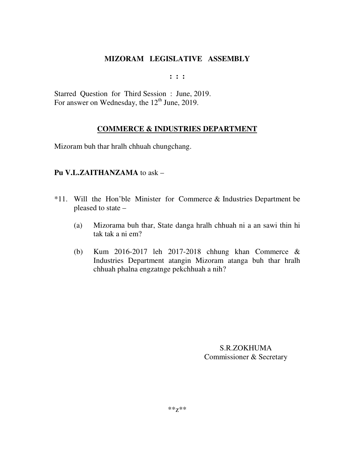**: : :** 

Starred Question for Third Session : June, 2019. For answer on Wednesday, the  $12<sup>th</sup>$  June, 2019.

## **COMMERCE & INDUSTRIES DEPARTMENT**

Mizoram buh thar hralh chhuah chungchang.

## **Pu V.L.ZAITHANZAMA** to ask –

- \*11. Will the Hon'ble Minister for Commerce & Industries Department be pleased to state –
	- (a) Mizorama buh thar, State danga hralh chhuah ni a an sawi thin hi tak tak a ni em?
	- (b) Kum 2016-2017 leh 2017-2018 chhung khan Commerce & Industries Department atangin Mizoram atanga buh thar hralh chhuah phalna engzatnge pekchhuah a nih?

S.R.ZOKHUMA Commissioner & Secretary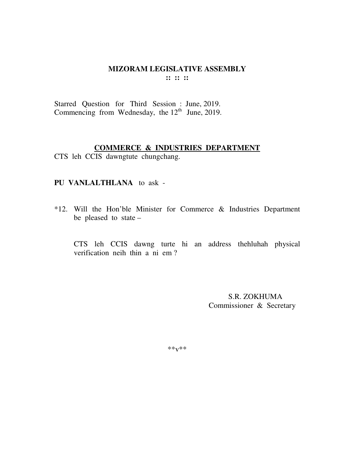#### MIZORAM LEGISLATIVE ASSEMBLY  $\mathbf{11} \ \mathbf{12} \ \mathbf{13}$

Starred Question for Third Session : June, 2019. Commencing from Wednesday, the  $12<sup>th</sup>$  June, 2019.

#### **COMMERCE & INDUSTRIES DEPARTMENT**

CTS leh CCIS dawngtute chungchang.

### PU VANLALTHLANA to ask -

\*12. Will the Hon'ble Minister for Commerce & Industries Department be pleased to state -

CTS leh CCIS dawng turte hi an address thehluhah physical verification neih thin a ni em?

> S.R. ZOKHUMA Commissioner & Secretary

 $***V***$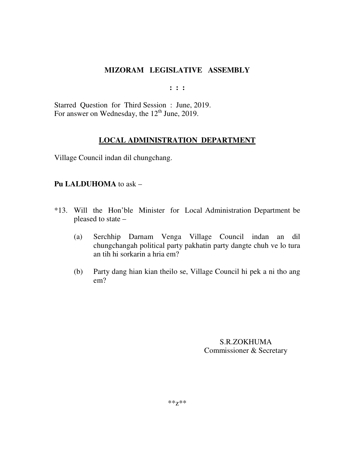**: : :** 

Starred Question for Third Session : June, 2019. For answer on Wednesday, the  $12<sup>th</sup>$  June, 2019.

## **LOCAL ADMINISTRATION DEPARTMENT**

Village Council indan dil chungchang.

### **Pu LALDUHOMA** to ask –

- \*13. Will the Hon'ble Minister for Local Administration Department be pleased to state –
	- (a) Serchhip Darnam Venga Village Council indan an dil chungchangah political party pakhatin party dangte chuh ve lo tura an tih hi sorkarin a hria em?
	- (b) Party dang hian kian theilo se, Village Council hi pek a ni tho ang em?

S.R.ZOKHUMA Commissioner & Secretary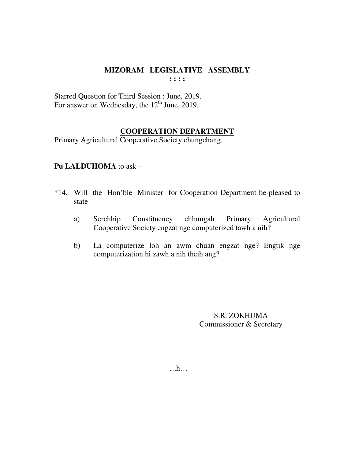Starred Question for Third Session : June, 2019. For answer on Wednesday, the 12<sup>th</sup> June, 2019.

## **COOPERATION DEPARTMENT**

Primary Agricultural Cooperative Society chungchang.

## Pu LALDUHOMA to ask -

- \*14. Will the Hon'ble Minister for Cooperation Department be pleased to state  $-$ 
	- Agricultural Constituency chhungah a) Serchhip Primary Cooperative Society engzat nge computerized tawh a nih?
	- La computerize loh an awm chuan engzat nge? Engtik nge  $b)$ computerization hi zawh a nih theih ang?

S.R. ZOKHUMA Commissioner & Secretary

 $\dots$ ...